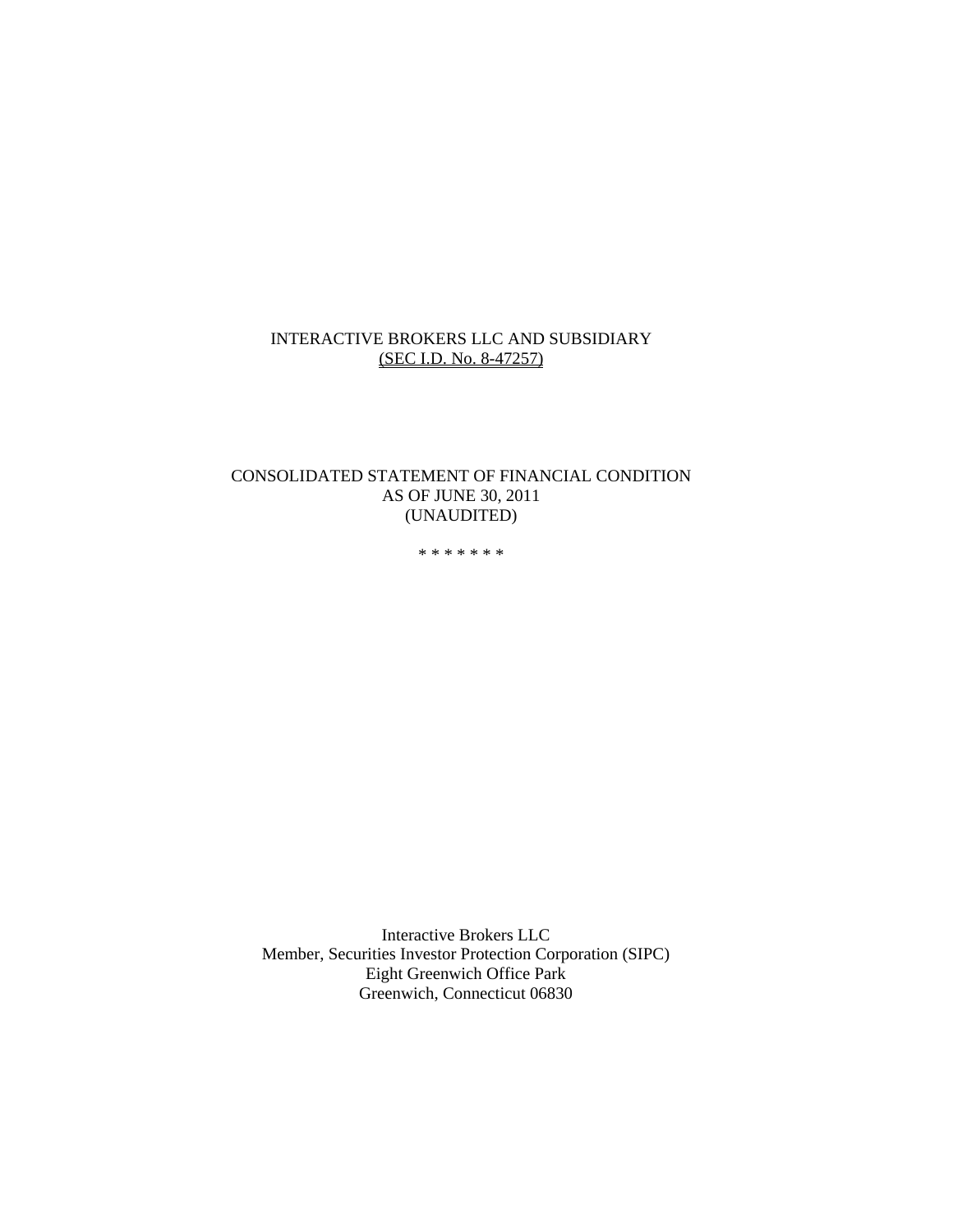### INTERACTIVE BROKERS LLC AND SUBSIDIARY (SEC I.D. No. 8-47257)

### CONSOLIDATED STATEMENT OF FINANCIAL CONDITION AS OF JUNE 30, 2011 (UNAUDITED)

\* \* \* \* \* \* \*

Interactive Brokers LLC Member, Securities Investor Protection Corporation (SIPC) Eight Greenwich Office Park Greenwich, Connecticut 06830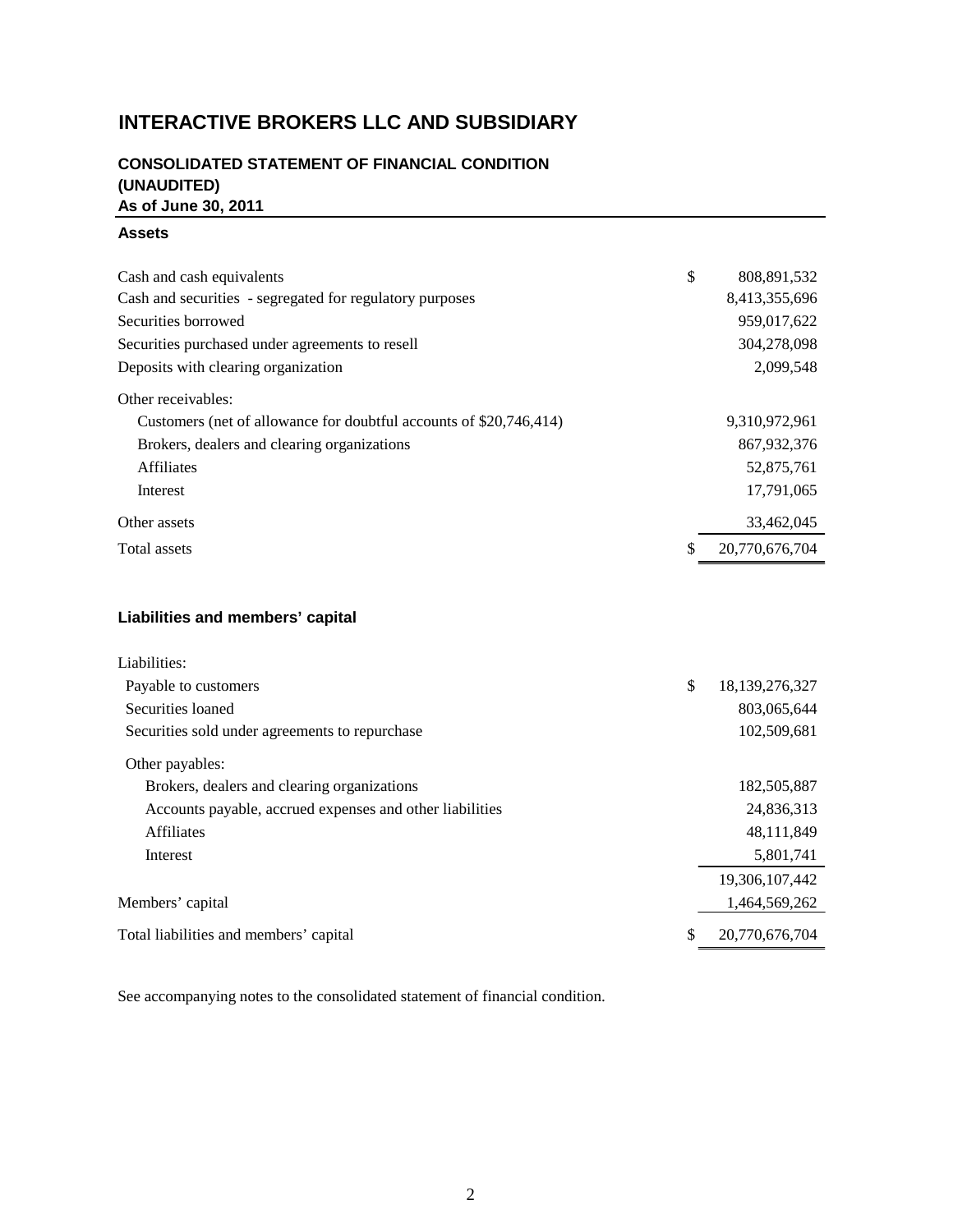# **INTERACTIVE BROKERS LLC AND SUBSIDIARY**

# **CONSOLIDATED STATEMENT OF FINANCIAL CONDITION (UNAUDITED) As of June 30, 2011**

### **Assets**

| Cash and cash equivalents                                          | \$<br>808,891,532    |
|--------------------------------------------------------------------|----------------------|
| Cash and securities - segregated for regulatory purposes           | 8,413,355,696        |
| Securities borrowed                                                | 959,017,622          |
| Securities purchased under agreements to resell                    | 304,278,098          |
| Deposits with clearing organization                                | 2,099,548            |
| Other receivables:                                                 |                      |
| Customers (net of allowance for doubtful accounts of \$20,746,414) | 9,310,972,961        |
| Brokers, dealers and clearing organizations                        | 867, 932, 376        |
| <b>Affiliates</b>                                                  | 52,875,761           |
| Interest                                                           | 17,791,065           |
| Other assets                                                       | 33,462,045           |
| Total assets                                                       | \$<br>20,770,676,704 |
|                                                                    |                      |

# **Liabilities and members' capital**

| Liabilities:                                             |                         |
|----------------------------------------------------------|-------------------------|
| Payable to customers                                     | \$<br>18, 139, 276, 327 |
| Securities loaned                                        | 803,065,644             |
| Securities sold under agreements to repurchase           | 102,509,681             |
| Other payables:                                          |                         |
| Brokers, dealers and clearing organizations              | 182,505,887             |
| Accounts payable, accrued expenses and other liabilities | 24,836,313              |
| <b>Affiliates</b>                                        | 48,111,849              |
| Interest                                                 | 5,801,741               |
|                                                          | 19,306,107,442          |
| Members' capital                                         | 1,464,569,262           |
| Total liabilities and members' capital                   | \$<br>20,770,676,704    |

See accompanying notes to the consolidated statement of financial condition.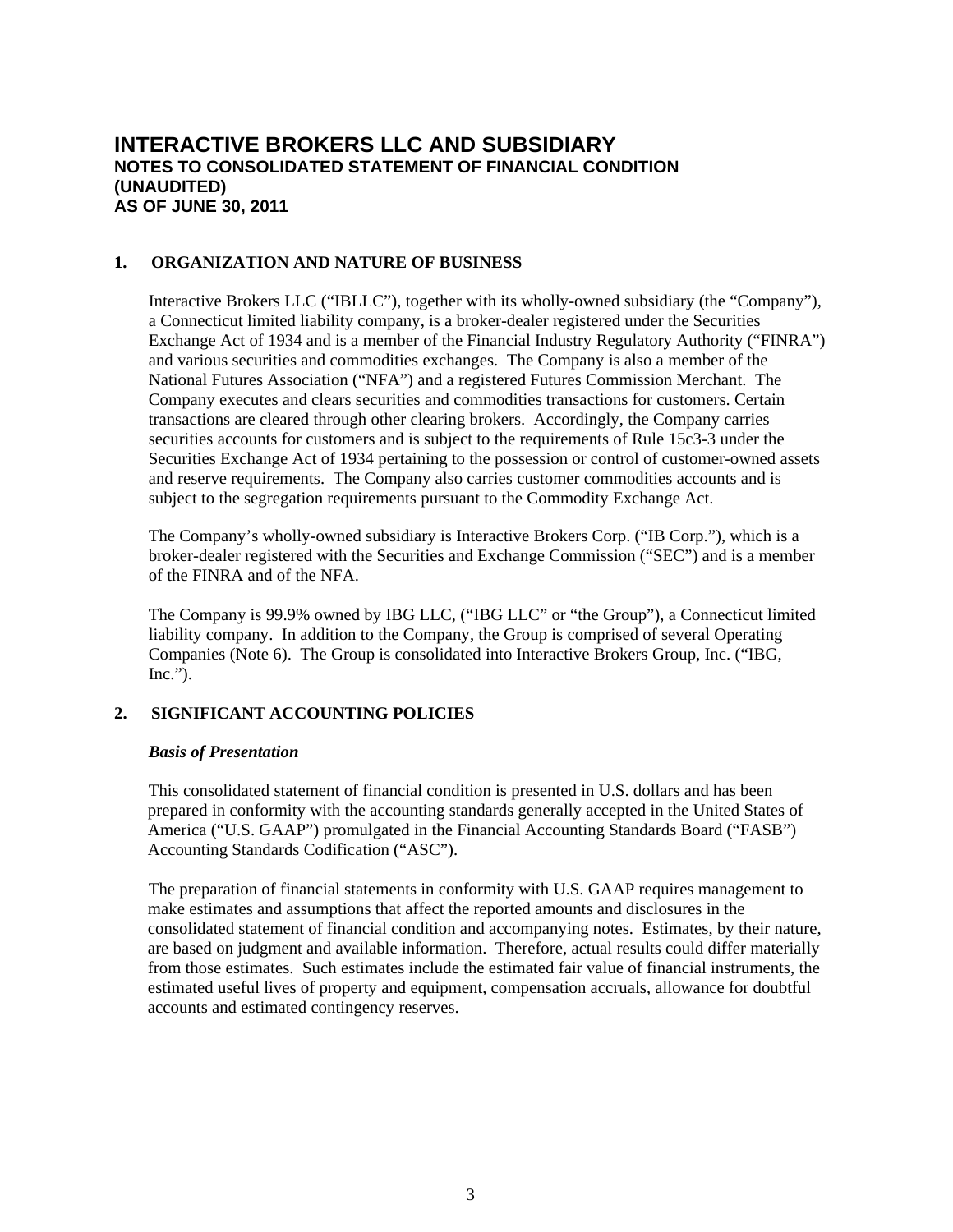### **1. ORGANIZATION AND NATURE OF BUSINESS**

Interactive Brokers LLC ("IBLLC"), together with its wholly-owned subsidiary (the "Company"), a Connecticut limited liability company, is a broker-dealer registered under the Securities Exchange Act of 1934 and is a member of the Financial Industry Regulatory Authority ("FINRA") and various securities and commodities exchanges. The Company is also a member of the National Futures Association ("NFA") and a registered Futures Commission Merchant. The Company executes and clears securities and commodities transactions for customers. Certain transactions are cleared through other clearing brokers. Accordingly, the Company carries securities accounts for customers and is subject to the requirements of Rule 15c3-3 under the Securities Exchange Act of 1934 pertaining to the possession or control of customer-owned assets and reserve requirements. The Company also carries customer commodities accounts and is subject to the segregation requirements pursuant to the Commodity Exchange Act.

The Company's wholly-owned subsidiary is Interactive Brokers Corp. ("IB Corp."), which is a broker-dealer registered with the Securities and Exchange Commission ("SEC") and is a member of the FINRA and of the NFA.

The Company is 99.9% owned by IBG LLC, ("IBG LLC" or "the Group"), a Connecticut limited liability company. In addition to the Company, the Group is comprised of several Operating Companies (Note 6). The Group is consolidated into Interactive Brokers Group, Inc. ("IBG,  $Inc.'$ ).

# **2. SIGNIFICANT ACCOUNTING POLICIES**

### *Basis of Presentation*

This consolidated statement of financial condition is presented in U.S. dollars and has been prepared in conformity with the accounting standards generally accepted in the United States of America ("U.S. GAAP") promulgated in the Financial Accounting Standards Board ("FASB") Accounting Standards Codification ("ASC").

The preparation of financial statements in conformity with U.S. GAAP requires management to make estimates and assumptions that affect the reported amounts and disclosures in the consolidated statement of financial condition and accompanying notes. Estimates, by their nature, are based on judgment and available information. Therefore, actual results could differ materially from those estimates. Such estimates include the estimated fair value of financial instruments, the estimated useful lives of property and equipment, compensation accruals, allowance for doubtful accounts and estimated contingency reserves.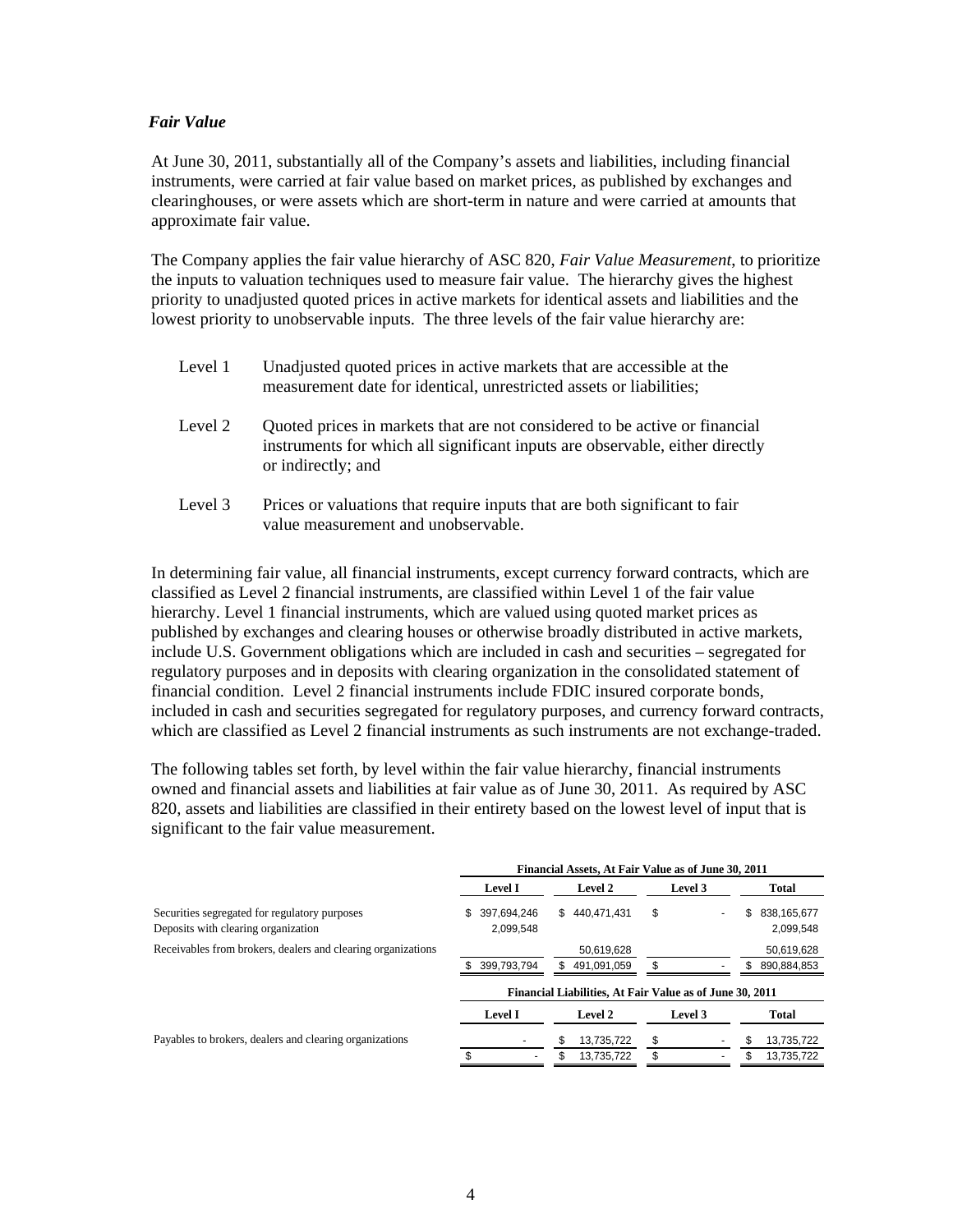#### *Fair Value*

At June 30, 2011, substantially all of the Company's assets and liabilities, including financial instruments, were carried at fair value based on market prices, as published by exchanges and clearinghouses, or were assets which are short-term in nature and were carried at amounts that approximate fair value.

The Company applies the fair value hierarchy of ASC 820, *Fair Value Measurement*, to prioritize the inputs to valuation techniques used to measure fair value. The hierarchy gives the highest priority to unadjusted quoted prices in active markets for identical assets and liabilities and the lowest priority to unobservable inputs. The three levels of the fair value hierarchy are:

| Level 1 | Unadjusted quoted prices in active markets that are accessible at the |
|---------|-----------------------------------------------------------------------|
|         | measurement date for identical, unrestricted assets or liabilities;   |

- Level 2 Quoted prices in markets that are not considered to be active or financial instruments for which all significant inputs are observable, either directly or indirectly; and
- Level 3 Prices or valuations that require inputs that are both significant to fair value measurement and unobservable.

In determining fair value, all financial instruments, except currency forward contracts, which are classified as Level 2 financial instruments, are classified within Level 1 of the fair value hierarchy. Level 1 financial instruments, which are valued using quoted market prices as published by exchanges and clearing houses or otherwise broadly distributed in active markets, include U.S. Government obligations which are included in cash and securities – segregated for regulatory purposes and in deposits with clearing organization in the consolidated statement of financial condition. Level 2 financial instruments include FDIC insured corporate bonds, included in cash and securities segregated for regulatory purposes, and currency forward contracts, which are classified as Level 2 financial instruments as such instruments are not exchange-traded.

The following tables set forth, by level within the fair value hierarchy, financial instruments owned and financial assets and liabilities at fair value as of June 30, 2011. As required by ASC 820, assets and liabilities are classified in their entirety based on the lowest level of input that is significant to the fair value measurement.

| Financial Assets, At Fair Value as of June 30, 2011 |                   |         |                                                          |
|-----------------------------------------------------|-------------------|---------|----------------------------------------------------------|
| <b>Level I</b>                                      | Level 2           | Level 3 | Total                                                    |
| 397.694.246<br>S.<br>2,099,548                      | \$440.471.431     | \$<br>٠ | 838,165,677<br>S<br>2,099,548                            |
|                                                     | 50,619,628        |         | 50,619,628                                               |
| 399.793.794                                         | 491.091.059<br>S. | \$      | \$<br>890,884,853                                        |
|                                                     |                   |         |                                                          |
| <b>Level I</b>                                      | Level 2           | Level 3 | Total                                                    |
|                                                     | 13,735,722        | \$      | 13,735,722                                               |
|                                                     | \$<br>13,735,722  | \$      | 13,735,722                                               |
|                                                     |                   |         | Financial Liabilities, At Fair Value as of June 30, 2011 |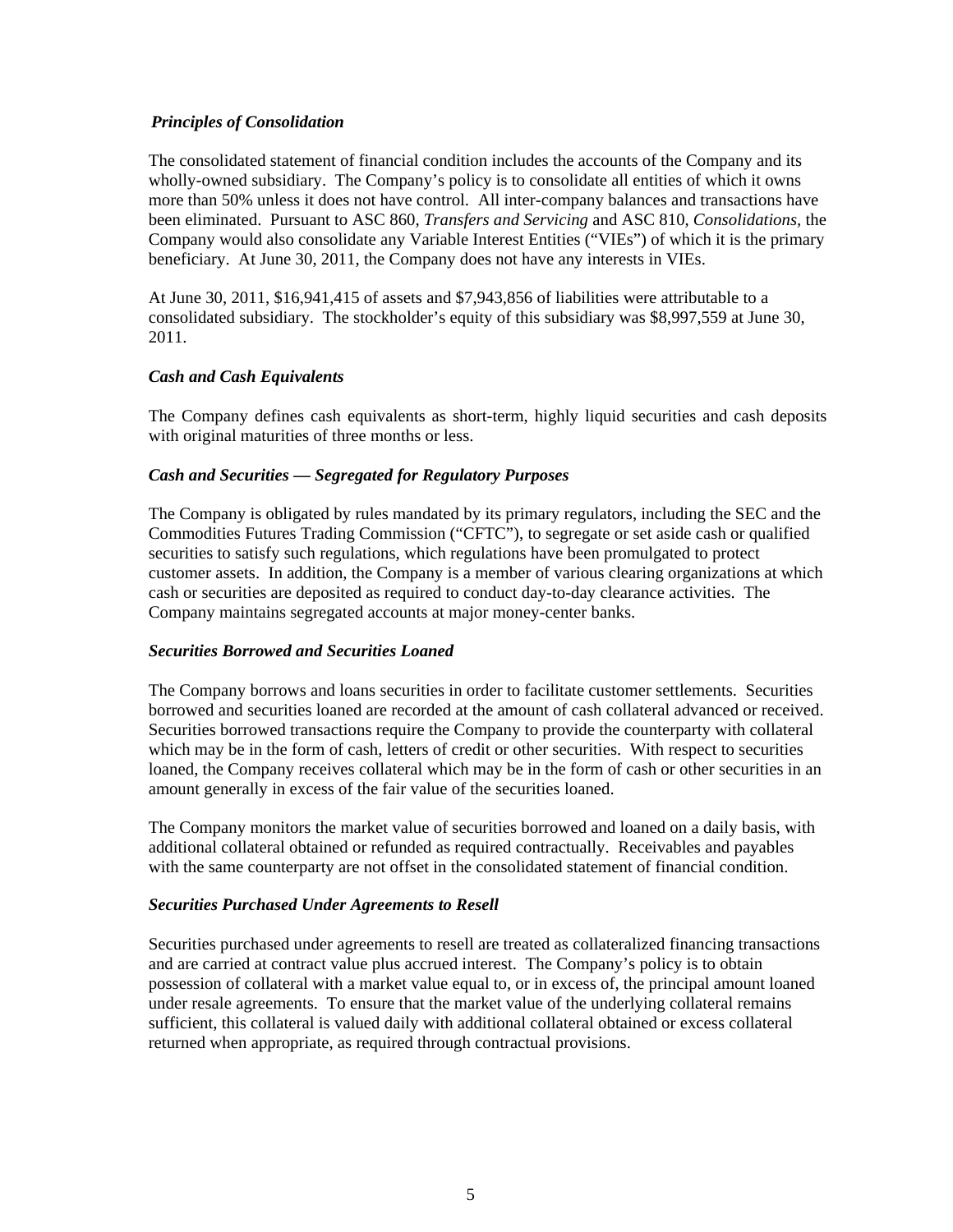### *Principles of Consolidation*

The consolidated statement of financial condition includes the accounts of the Company and its wholly-owned subsidiary. The Company's policy is to consolidate all entities of which it owns more than 50% unless it does not have control. All inter-company balances and transactions have been eliminated. Pursuant to ASC 860, *Transfers and Servicing* and ASC 810, *Consolidations,* the Company would also consolidate any Variable Interest Entities ("VIEs") of which it is the primary beneficiary. At June 30, 2011, the Company does not have any interests in VIEs.

At June 30, 2011, \$16,941,415 of assets and \$7,943,856 of liabilities were attributable to a consolidated subsidiary. The stockholder's equity of this subsidiary was \$8,997,559 at June 30, 2011.

### *Cash and Cash Equivalents*

The Company defines cash equivalents as short-term, highly liquid securities and cash deposits with original maturities of three months or less.

### *Cash and Securities — Segregated for Regulatory Purposes*

The Company is obligated by rules mandated by its primary regulators, including the SEC and the Commodities Futures Trading Commission ("CFTC"), to segregate or set aside cash or qualified securities to satisfy such regulations, which regulations have been promulgated to protect customer assets. In addition, the Company is a member of various clearing organizations at which cash or securities are deposited as required to conduct day-to-day clearance activities. The Company maintains segregated accounts at major money-center banks.

#### *Securities Borrowed and Securities Loaned*

The Company borrows and loans securities in order to facilitate customer settlements. Securities borrowed and securities loaned are recorded at the amount of cash collateral advanced or received. Securities borrowed transactions require the Company to provide the counterparty with collateral which may be in the form of cash, letters of credit or other securities. With respect to securities loaned, the Company receives collateral which may be in the form of cash or other securities in an amount generally in excess of the fair value of the securities loaned.

The Company monitors the market value of securities borrowed and loaned on a daily basis, with additional collateral obtained or refunded as required contractually. Receivables and payables with the same counterparty are not offset in the consolidated statement of financial condition.

#### *Securities Purchased Under Agreements to Resell*

Securities purchased under agreements to resell are treated as collateralized financing transactions and are carried at contract value plus accrued interest. The Company's policy is to obtain possession of collateral with a market value equal to, or in excess of, the principal amount loaned under resale agreements. To ensure that the market value of the underlying collateral remains sufficient, this collateral is valued daily with additional collateral obtained or excess collateral returned when appropriate, as required through contractual provisions.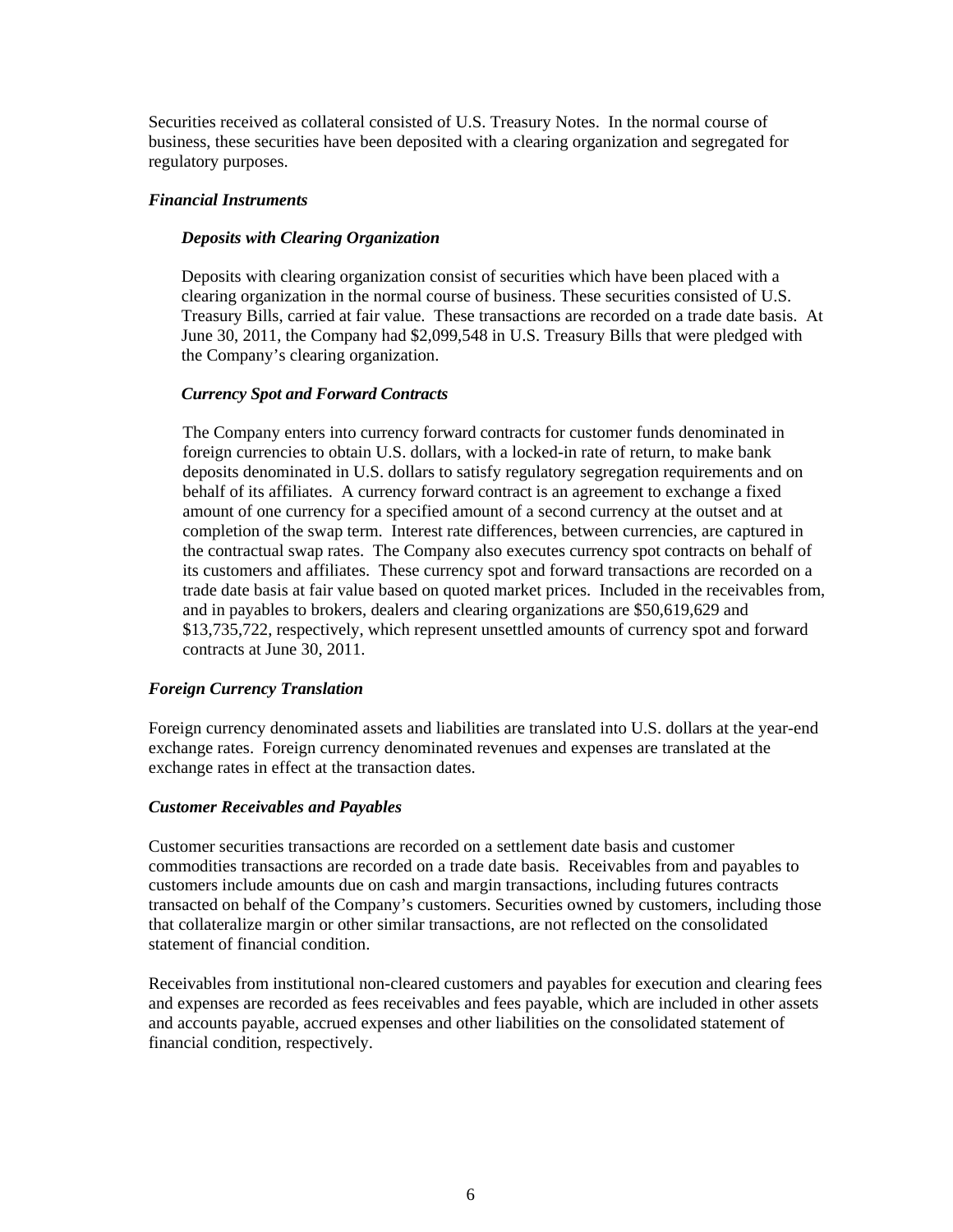Securities received as collateral consisted of U.S. Treasury Notes. In the normal course of business, these securities have been deposited with a clearing organization and segregated for regulatory purposes.

### *Financial Instruments*

### *Deposits with Clearing Organization*

Deposits with clearing organization consist of securities which have been placed with a clearing organization in the normal course of business. These securities consisted of U.S. Treasury Bills, carried at fair value. These transactions are recorded on a trade date basis. At June 30, 2011, the Company had \$2,099,548 in U.S. Treasury Bills that were pledged with the Company's clearing organization.

### *Currency Spot and Forward Contracts*

The Company enters into currency forward contracts for customer funds denominated in foreign currencies to obtain U.S. dollars, with a locked-in rate of return, to make bank deposits denominated in U.S. dollars to satisfy regulatory segregation requirements and on behalf of its affiliates. A currency forward contract is an agreement to exchange a fixed amount of one currency for a specified amount of a second currency at the outset and at completion of the swap term. Interest rate differences, between currencies, are captured in the contractual swap rates. The Company also executes currency spot contracts on behalf of its customers and affiliates. These currency spot and forward transactions are recorded on a trade date basis at fair value based on quoted market prices. Included in the receivables from, and in payables to brokers, dealers and clearing organizations are \$50,619,629 and \$13,735,722, respectively, which represent unsettled amounts of currency spot and forward contracts at June 30, 2011.

### *Foreign Currency Translation*

Foreign currency denominated assets and liabilities are translated into U.S. dollars at the year-end exchange rates. Foreign currency denominated revenues and expenses are translated at the exchange rates in effect at the transaction dates.

#### *Customer Receivables and Payables*

Customer securities transactions are recorded on a settlement date basis and customer commodities transactions are recorded on a trade date basis. Receivables from and payables to customers include amounts due on cash and margin transactions, including futures contracts transacted on behalf of the Company's customers. Securities owned by customers, including those that collateralize margin or other similar transactions, are not reflected on the consolidated statement of financial condition.

Receivables from institutional non-cleared customers and payables for execution and clearing fees and expenses are recorded as fees receivables and fees payable, which are included in other assets and accounts payable, accrued expenses and other liabilities on the consolidated statement of financial condition, respectively.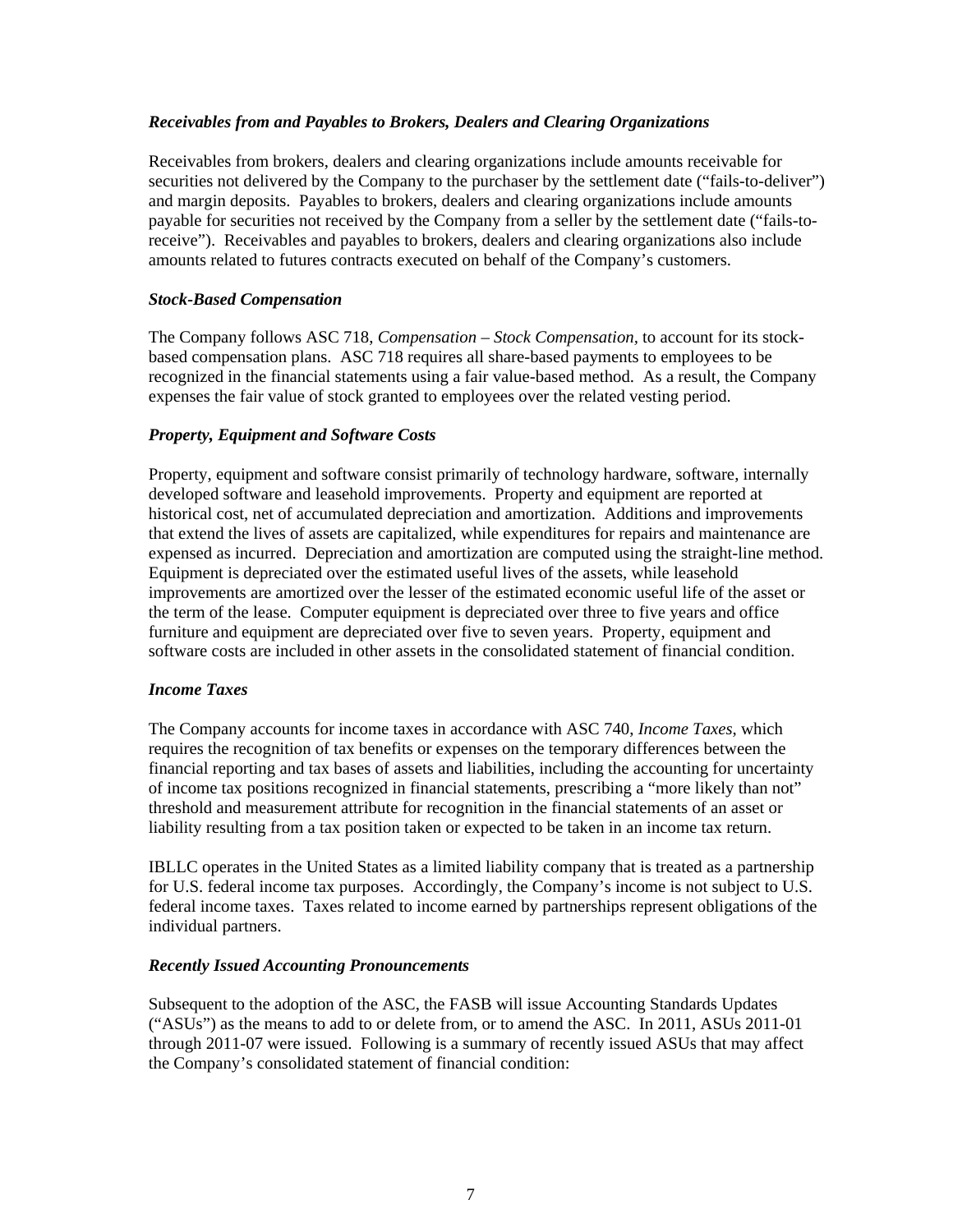### *Receivables from and Payables to Brokers, Dealers and Clearing Organizations*

Receivables from brokers, dealers and clearing organizations include amounts receivable for securities not delivered by the Company to the purchaser by the settlement date ("fails-to-deliver") and margin deposits. Payables to brokers, dealers and clearing organizations include amounts payable for securities not received by the Company from a seller by the settlement date ("fails-toreceive"). Receivables and payables to brokers, dealers and clearing organizations also include amounts related to futures contracts executed on behalf of the Company's customers.

### *Stock-Based Compensation*

The Company follows ASC 718, *Compensation – Stock Compensation,* to account for its stockbased compensation plans. ASC 718 requires all share-based payments to employees to be recognized in the financial statements using a fair value-based method. As a result, the Company expenses the fair value of stock granted to employees over the related vesting period.

### *Property, Equipment and Software Costs*

Property, equipment and software consist primarily of technology hardware, software, internally developed software and leasehold improvements. Property and equipment are reported at historical cost, net of accumulated depreciation and amortization. Additions and improvements that extend the lives of assets are capitalized, while expenditures for repairs and maintenance are expensed as incurred. Depreciation and amortization are computed using the straight-line method. Equipment is depreciated over the estimated useful lives of the assets, while leasehold improvements are amortized over the lesser of the estimated economic useful life of the asset or the term of the lease. Computer equipment is depreciated over three to five years and office furniture and equipment are depreciated over five to seven years. Property, equipment and software costs are included in other assets in the consolidated statement of financial condition.

### *Income Taxes*

The Company accounts for income taxes in accordance with ASC 740, *Income Taxes*, which requires the recognition of tax benefits or expenses on the temporary differences between the financial reporting and tax bases of assets and liabilities, including the accounting for uncertainty of income tax positions recognized in financial statements, prescribing a "more likely than not" threshold and measurement attribute for recognition in the financial statements of an asset or liability resulting from a tax position taken or expected to be taken in an income tax return.

IBLLC operates in the United States as a limited liability company that is treated as a partnership for U.S. federal income tax purposes. Accordingly, the Company's income is not subject to U.S. federal income taxes. Taxes related to income earned by partnerships represent obligations of the individual partners.

#### *Recently Issued Accounting Pronouncements*

Subsequent to the adoption of the ASC, the FASB will issue Accounting Standards Updates ("ASUs") as the means to add to or delete from, or to amend the ASC. In 2011, ASUs 2011-01 through 2011-07 were issued. Following is a summary of recently issued ASUs that may affect the Company's consolidated statement of financial condition: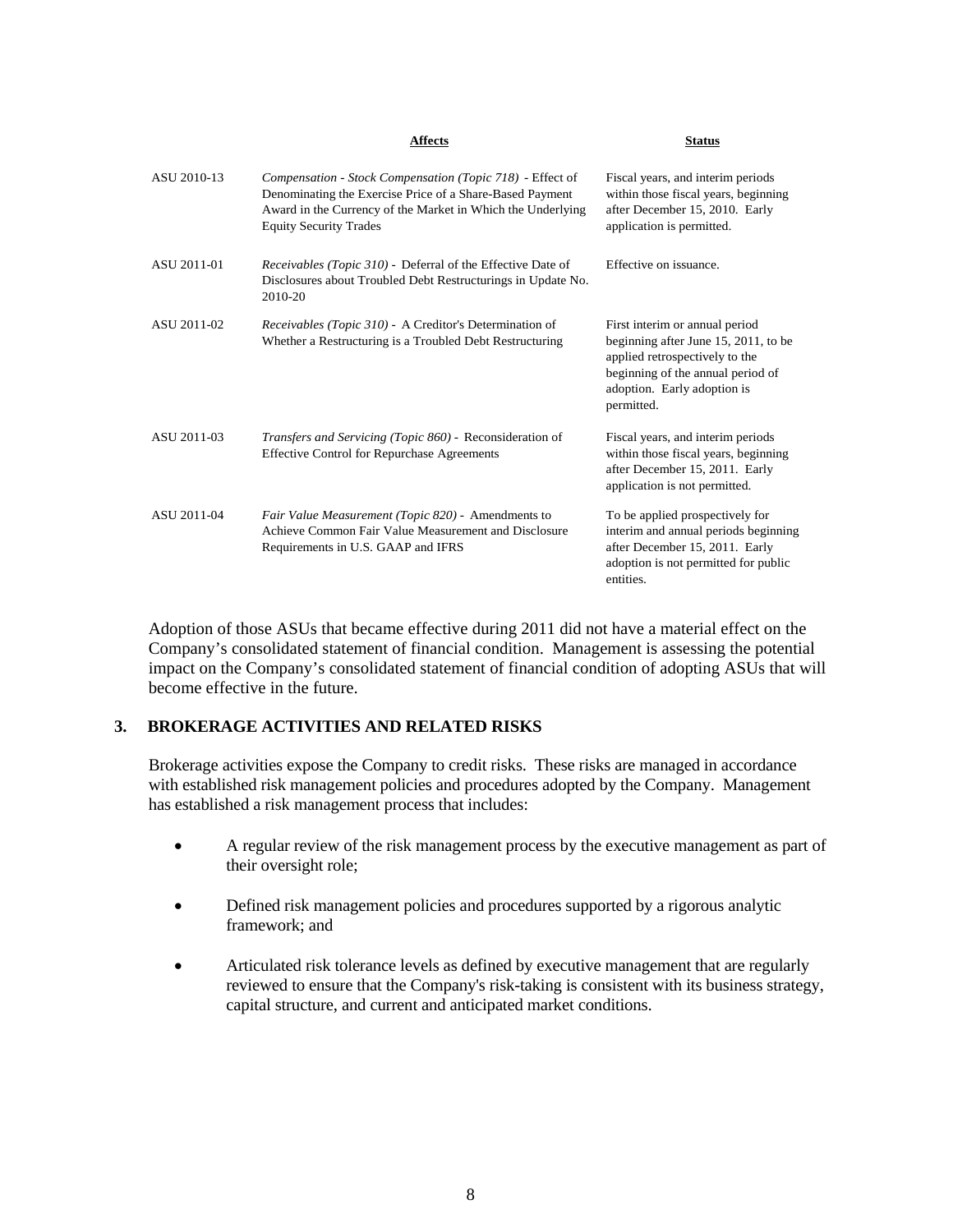|             | <b>Affects</b>                                                                                                                                                                                                        | <b>Status</b>                                                                                                                                                                              |
|-------------|-----------------------------------------------------------------------------------------------------------------------------------------------------------------------------------------------------------------------|--------------------------------------------------------------------------------------------------------------------------------------------------------------------------------------------|
| ASU 2010-13 | Compensation - Stock Compensation (Topic 718) - Effect of<br>Denominating the Exercise Price of a Share-Based Payment<br>Award in the Currency of the Market in Which the Underlying<br><b>Equity Security Trades</b> | Fiscal years, and interim periods<br>within those fiscal years, beginning<br>after December 15, 2010. Early<br>application is permitted.                                                   |
| ASU 2011-01 | <i>Receivables (Topic 310)</i> - Deferral of the Effective Date of<br>Disclosures about Troubled Debt Restructurings in Update No.<br>2010-20                                                                         | Effective on issuance.                                                                                                                                                                     |
| ASU 2011-02 | <i>Receivables (Topic 310)</i> - A Creditor's Determination of<br>Whether a Restructuring is a Troubled Debt Restructuring                                                                                            | First interim or annual period<br>beginning after June 15, 2011, to be<br>applied retrospectively to the<br>beginning of the annual period of<br>adoption. Early adoption is<br>permitted. |
| ASU 2011-03 | Transfers and Servicing (Topic 860) - Reconsideration of<br><b>Effective Control for Repurchase Agreements</b>                                                                                                        | Fiscal years, and interim periods<br>within those fiscal years, beginning<br>after December 15, 2011. Early<br>application is not permitted.                                               |
| ASU 2011-04 | Fair Value Measurement (Topic 820) - Amendments to<br>Achieve Common Fair Value Measurement and Disclosure<br>Requirements in U.S. GAAP and IFRS                                                                      | To be applied prospectively for<br>interim and annual periods beginning<br>after December 15, 2011. Early<br>adoption is not permitted for public<br>entities.                             |

Adoption of those ASUs that became effective during 2011 did not have a material effect on the Company's consolidated statement of financial condition. Management is assessing the potential impact on the Company's consolidated statement of financial condition of adopting ASUs that will become effective in the future.

### **3. BROKERAGE ACTIVITIES AND RELATED RISKS**

Brokerage activities expose the Company to credit risks. These risks are managed in accordance with established risk management policies and procedures adopted by the Company. Management has established a risk management process that includes:

- A regular review of the risk management process by the executive management as part of their oversight role;
- Defined risk management policies and procedures supported by a rigorous analytic framework; and
- Articulated risk tolerance levels as defined by executive management that are regularly reviewed to ensure that the Company's risk-taking is consistent with its business strategy, capital structure, and current and anticipated market conditions.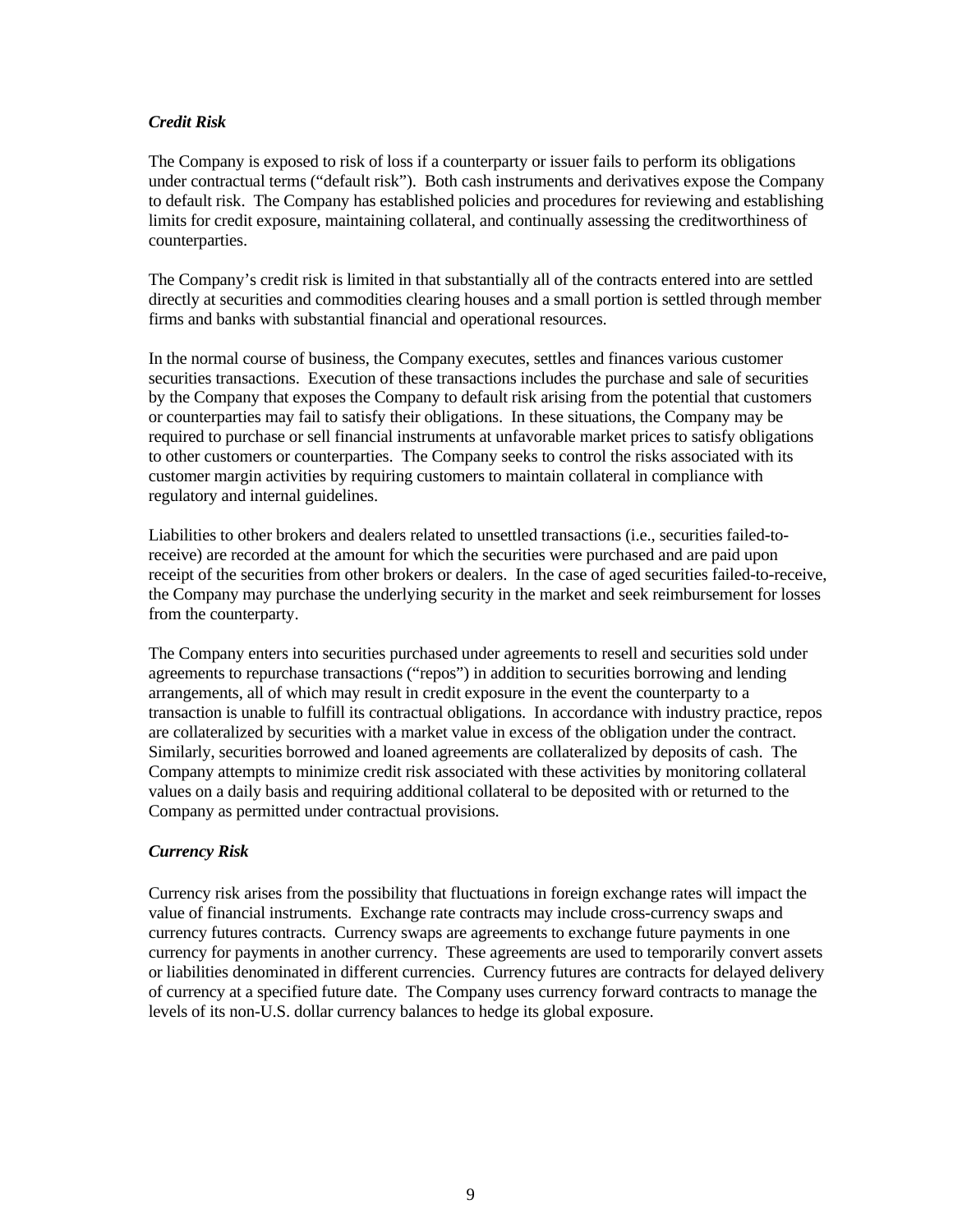### *Credit Risk*

The Company is exposed to risk of loss if a counterparty or issuer fails to perform its obligations under contractual terms ("default risk"). Both cash instruments and derivatives expose the Company to default risk. The Company has established policies and procedures for reviewing and establishing limits for credit exposure, maintaining collateral, and continually assessing the creditworthiness of counterparties.

The Company's credit risk is limited in that substantially all of the contracts entered into are settled directly at securities and commodities clearing houses and a small portion is settled through member firms and banks with substantial financial and operational resources.

In the normal course of business, the Company executes, settles and finances various customer securities transactions. Execution of these transactions includes the purchase and sale of securities by the Company that exposes the Company to default risk arising from the potential that customers or counterparties may fail to satisfy their obligations. In these situations, the Company may be required to purchase or sell financial instruments at unfavorable market prices to satisfy obligations to other customers or counterparties. The Company seeks to control the risks associated with its customer margin activities by requiring customers to maintain collateral in compliance with regulatory and internal guidelines.

Liabilities to other brokers and dealers related to unsettled transactions (i.e., securities failed-toreceive) are recorded at the amount for which the securities were purchased and are paid upon receipt of the securities from other brokers or dealers. In the case of aged securities failed-to-receive, the Company may purchase the underlying security in the market and seek reimbursement for losses from the counterparty.

The Company enters into securities purchased under agreements to resell and securities sold under agreements to repurchase transactions ("repos") in addition to securities borrowing and lending arrangements, all of which may result in credit exposure in the event the counterparty to a transaction is unable to fulfill its contractual obligations. In accordance with industry practice, repos are collateralized by securities with a market value in excess of the obligation under the contract. Similarly, securities borrowed and loaned agreements are collateralized by deposits of cash. The Company attempts to minimize credit risk associated with these activities by monitoring collateral values on a daily basis and requiring additional collateral to be deposited with or returned to the Company as permitted under contractual provisions.

### *Currency Risk*

Currency risk arises from the possibility that fluctuations in foreign exchange rates will impact the value of financial instruments. Exchange rate contracts may include cross-currency swaps and currency futures contracts. Currency swaps are agreements to exchange future payments in one currency for payments in another currency. These agreements are used to temporarily convert assets or liabilities denominated in different currencies. Currency futures are contracts for delayed delivery of currency at a specified future date. The Company uses currency forward contracts to manage the levels of its non-U.S. dollar currency balances to hedge its global exposure.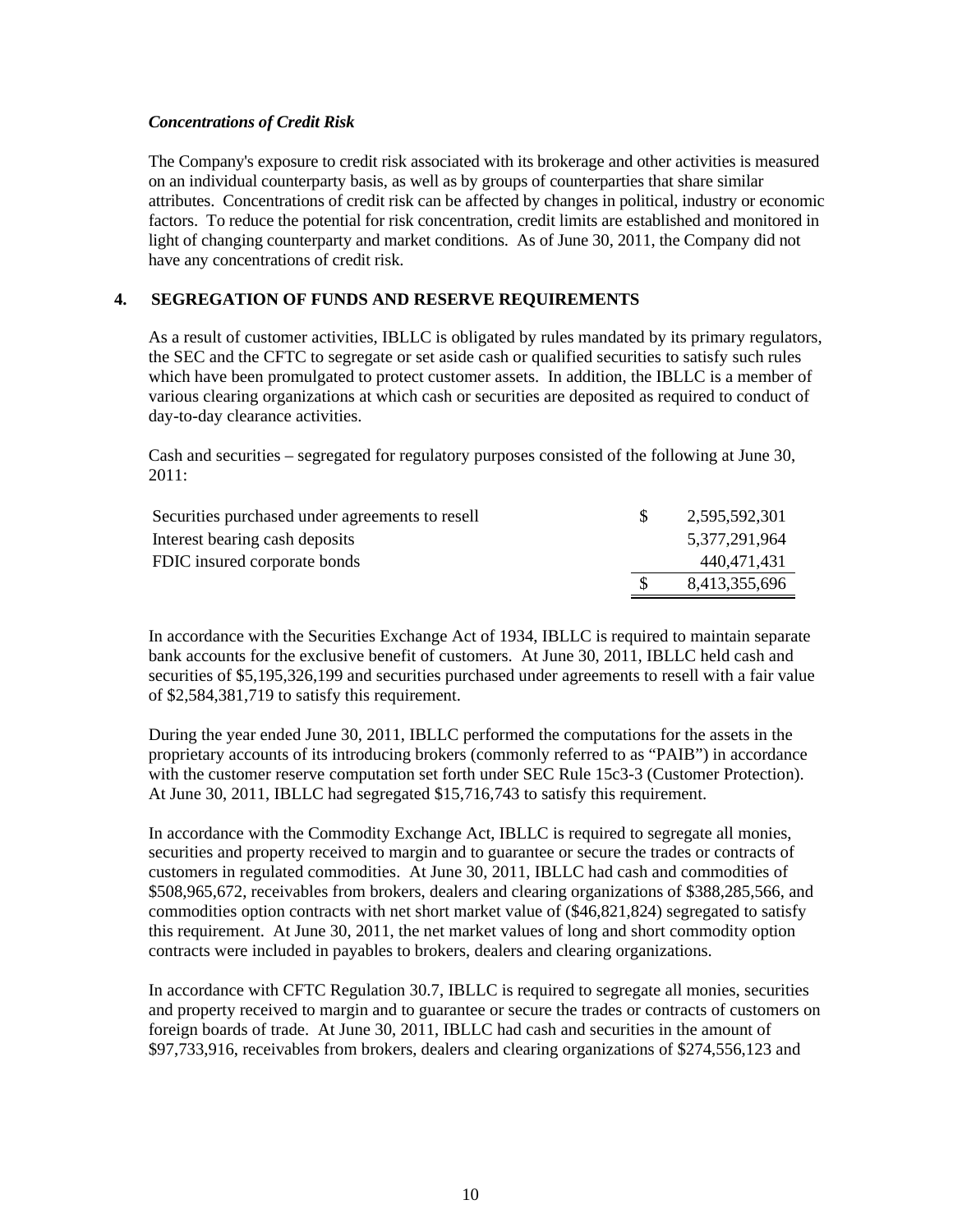### *Concentrations of Credit Risk*

The Company's exposure to credit risk associated with its brokerage and other activities is measured on an individual counterparty basis, as well as by groups of counterparties that share similar attributes. Concentrations of credit risk can be affected by changes in political, industry or economic factors. To reduce the potential for risk concentration, credit limits are established and monitored in light of changing counterparty and market conditions. As of June 30, 2011, the Company did not have any concentrations of credit risk.

# **4. SEGREGATION OF FUNDS AND RESERVE REQUIREMENTS**

As a result of customer activities, IBLLC is obligated by rules mandated by its primary regulators, the SEC and the CFTC to segregate or set aside cash or qualified securities to satisfy such rules which have been promulgated to protect customer assets. In addition, the IBLLC is a member of various clearing organizations at which cash or securities are deposited as required to conduct of day-to-day clearance activities.

Cash and securities – segregated for regulatory purposes consisted of the following at June 30, 2011:

| Securities purchased under agreements to resell | 2,595,592,301 |
|-------------------------------------------------|---------------|
| Interest bearing cash deposits                  | 5,377,291,964 |
| FDIC insured corporate bonds                    | 440,471,431   |
|                                                 | 8,413,355,696 |
|                                                 |               |

In accordance with the Securities Exchange Act of 1934, IBLLC is required to maintain separate bank accounts for the exclusive benefit of customers. At June 30, 2011, IBLLC held cash and securities of \$5,195,326,199 and securities purchased under agreements to resell with a fair value of \$2,584,381,719 to satisfy this requirement.

During the year ended June 30, 2011, IBLLC performed the computations for the assets in the proprietary accounts of its introducing brokers (commonly referred to as "PAIB") in accordance with the customer reserve computation set forth under SEC Rule 15c3-3 (Customer Protection). At June 30, 2011, IBLLC had segregated \$15,716,743 to satisfy this requirement.

In accordance with the Commodity Exchange Act, IBLLC is required to segregate all monies, securities and property received to margin and to guarantee or secure the trades or contracts of customers in regulated commodities. At June 30, 2011, IBLLC had cash and commodities of \$508,965,672, receivables from brokers, dealers and clearing organizations of \$388,285,566, and commodities option contracts with net short market value of (\$46,821,824) segregated to satisfy this requirement. At June 30, 2011, the net market values of long and short commodity option contracts were included in payables to brokers, dealers and clearing organizations.

In accordance with CFTC Regulation 30.7, IBLLC is required to segregate all monies, securities and property received to margin and to guarantee or secure the trades or contracts of customers on foreign boards of trade. At June 30, 2011, IBLLC had cash and securities in the amount of \$97,733,916, receivables from brokers, dealers and clearing organizations of \$274,556,123 and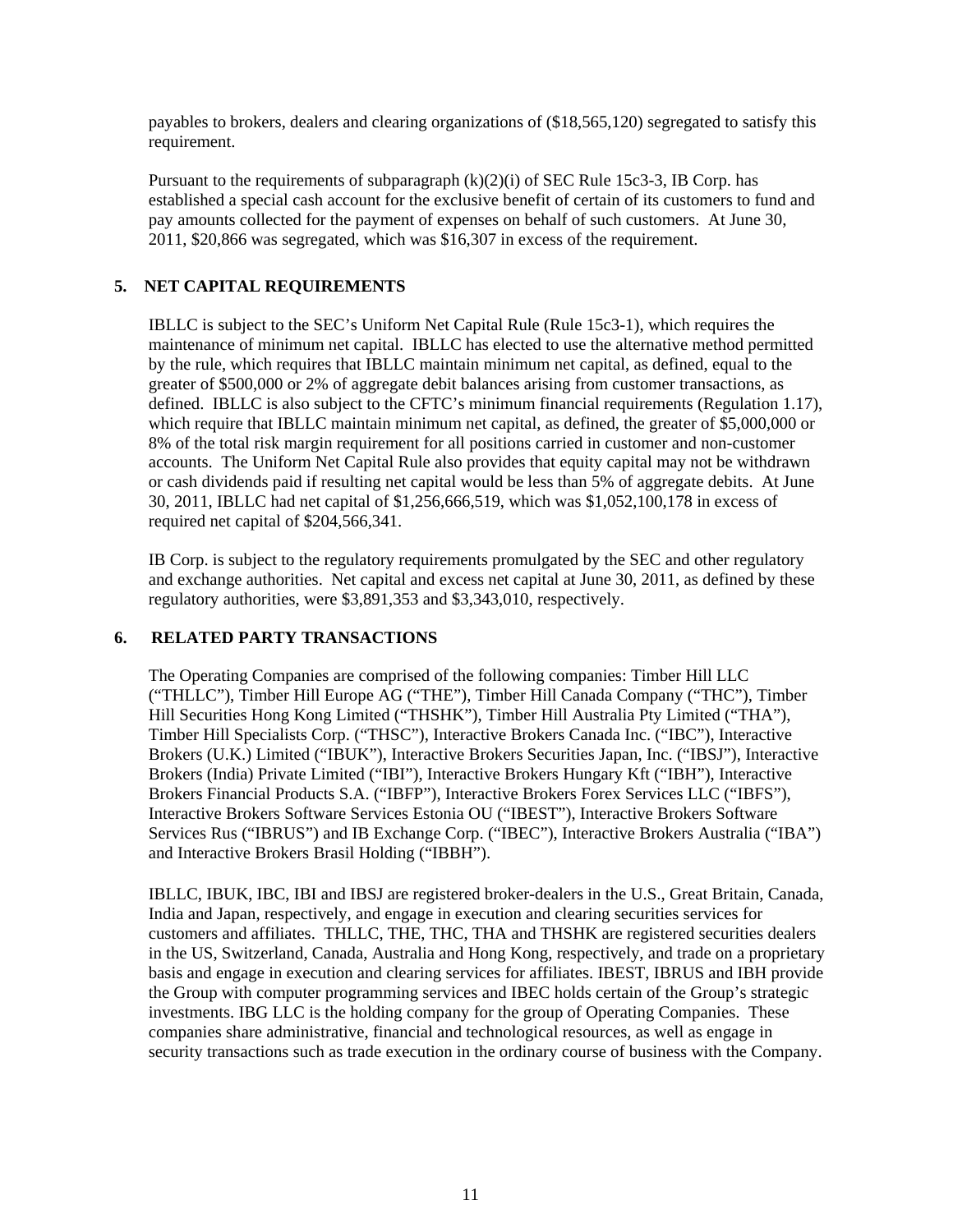payables to brokers, dealers and clearing organizations of (\$18,565,120) segregated to satisfy this requirement.

Pursuant to the requirements of subparagraph  $(k)(2)(i)$  of SEC Rule 15c3-3, IB Corp. has established a special cash account for the exclusive benefit of certain of its customers to fund and pay amounts collected for the payment of expenses on behalf of such customers. At June 30, 2011, \$20,866 was segregated, which was \$16,307 in excess of the requirement.

# **5. NET CAPITAL REQUIREMENTS**

IBLLC is subject to the SEC's Uniform Net Capital Rule (Rule 15c3-1), which requires the maintenance of minimum net capital. IBLLC has elected to use the alternative method permitted by the rule, which requires that IBLLC maintain minimum net capital, as defined, equal to the greater of \$500,000 or 2% of aggregate debit balances arising from customer transactions, as defined. IBLLC is also subject to the CFTC's minimum financial requirements (Regulation 1.17), which require that IBLLC maintain minimum net capital, as defined, the greater of \$5,000,000 or 8% of the total risk margin requirement for all positions carried in customer and non-customer accounts. The Uniform Net Capital Rule also provides that equity capital may not be withdrawn or cash dividends paid if resulting net capital would be less than 5% of aggregate debits. At June 30, 2011, IBLLC had net capital of \$1,256,666,519, which was \$1,052,100,178 in excess of required net capital of \$204,566,341.

IB Corp. is subject to the regulatory requirements promulgated by the SEC and other regulatory and exchange authorities. Net capital and excess net capital at June 30, 2011, as defined by these regulatory authorities, were \$3,891,353 and \$3,343,010, respectively.

### **6. RELATED PARTY TRANSACTIONS**

The Operating Companies are comprised of the following companies: Timber Hill LLC ("THLLC"), Timber Hill Europe AG ("THE"), Timber Hill Canada Company ("THC"), Timber Hill Securities Hong Kong Limited ("THSHK"), Timber Hill Australia Pty Limited ("THA"), Timber Hill Specialists Corp. ("THSC"), Interactive Brokers Canada Inc. ("IBC"), Interactive Brokers (U.K.) Limited ("IBUK"), Interactive Brokers Securities Japan, Inc. ("IBSJ"), Interactive Brokers (India) Private Limited ("IBI"), Interactive Brokers Hungary Kft ("IBH"), Interactive Brokers Financial Products S.A. ("IBFP"), Interactive Brokers Forex Services LLC ("IBFS"), Interactive Brokers Software Services Estonia OU ("IBEST"), Interactive Brokers Software Services Rus ("IBRUS") and IB Exchange Corp. ("IBEC"), Interactive Brokers Australia ("IBA") and Interactive Brokers Brasil Holding ("IBBH").

IBLLC, IBUK, IBC, IBI and IBSJ are registered broker-dealers in the U.S., Great Britain, Canada, India and Japan, respectively, and engage in execution and clearing securities services for customers and affiliates. THLLC, THE, THC, THA and THSHK are registered securities dealers in the US, Switzerland, Canada, Australia and Hong Kong, respectively, and trade on a proprietary basis and engage in execution and clearing services for affiliates. IBEST, IBRUS and IBH provide the Group with computer programming services and IBEC holds certain of the Group's strategic investments. IBG LLC is the holding company for the group of Operating Companies. These companies share administrative, financial and technological resources, as well as engage in security transactions such as trade execution in the ordinary course of business with the Company.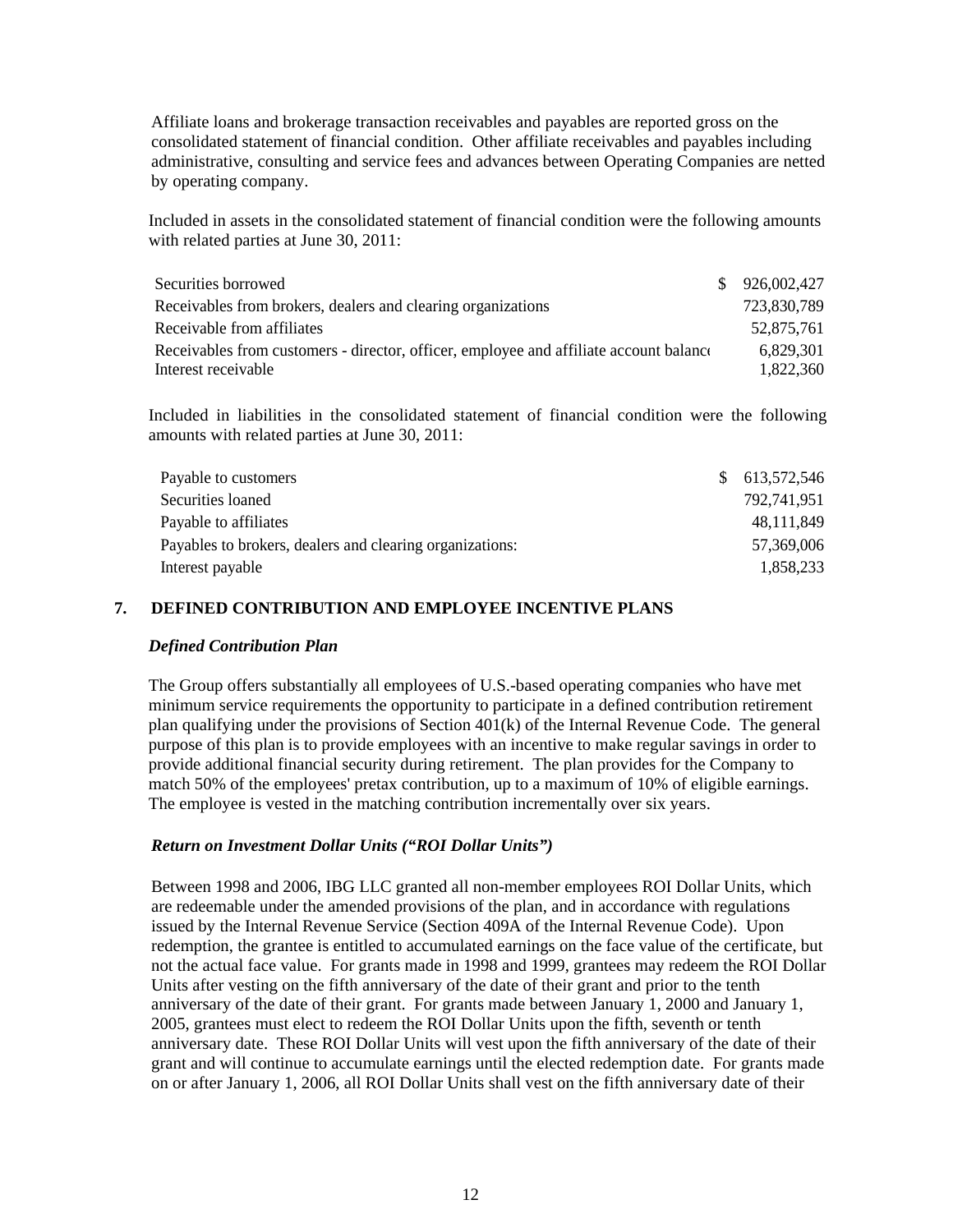Affiliate loans and brokerage transaction receivables and payables are reported gross on the consolidated statement of financial condition. Other affiliate receivables and payables including administrative, consulting and service fees and advances between Operating Companies are netted by operating company.

Included in assets in the consolidated statement of financial condition were the following amounts with related parties at June 30, 2011:

| Securities borrowed                                                                    | \$926,002,427 |
|----------------------------------------------------------------------------------------|---------------|
| Receivables from brokers, dealers and clearing organizations                           | 723,830,789   |
| Receivable from affiliates                                                             | 52.875.761    |
| Receivables from customers - director, officer, employee and affiliate account balance | 6.829.301     |
| Interest receivable                                                                    | 1.822.360     |

Included in liabilities in the consolidated statement of financial condition were the following amounts with related parties at June 30, 2011:

| Payable to customers                                     | \$613,572,546 |
|----------------------------------------------------------|---------------|
| Securities loaned                                        | 792,741,951   |
| Payable to affiliates                                    | 48,111,849    |
| Payables to brokers, dealers and clearing organizations: | 57,369,006    |
| Interest payable                                         | 1,858,233     |

### **7. DEFINED CONTRIBUTION AND EMPLOYEE INCENTIVE PLANS**

#### *Defined Contribution Plan*

The Group offers substantially all employees of U.S.-based operating companies who have met minimum service requirements the opportunity to participate in a defined contribution retirement plan qualifying under the provisions of Section  $401(k)$  of the Internal Revenue Code. The general purpose of this plan is to provide employees with an incentive to make regular savings in order to provide additional financial security during retirement. The plan provides for the Company to match 50% of the employees' pretax contribution, up to a maximum of 10% of eligible earnings. The employee is vested in the matching contribution incrementally over six years.

#### *Return on Investment Dollar Units ("ROI Dollar Units")*

Between 1998 and 2006, IBG LLC granted all non-member employees ROI Dollar Units, which are redeemable under the amended provisions of the plan, and in accordance with regulations issued by the Internal Revenue Service (Section 409A of the Internal Revenue Code). Upon redemption, the grantee is entitled to accumulated earnings on the face value of the certificate, but not the actual face value. For grants made in 1998 and 1999, grantees may redeem the ROI Dollar Units after vesting on the fifth anniversary of the date of their grant and prior to the tenth anniversary of the date of their grant. For grants made between January 1, 2000 and January 1, 2005, grantees must elect to redeem the ROI Dollar Units upon the fifth, seventh or tenth anniversary date. These ROI Dollar Units will vest upon the fifth anniversary of the date of their grant and will continue to accumulate earnings until the elected redemption date. For grants made on or after January 1, 2006, all ROI Dollar Units shall vest on the fifth anniversary date of their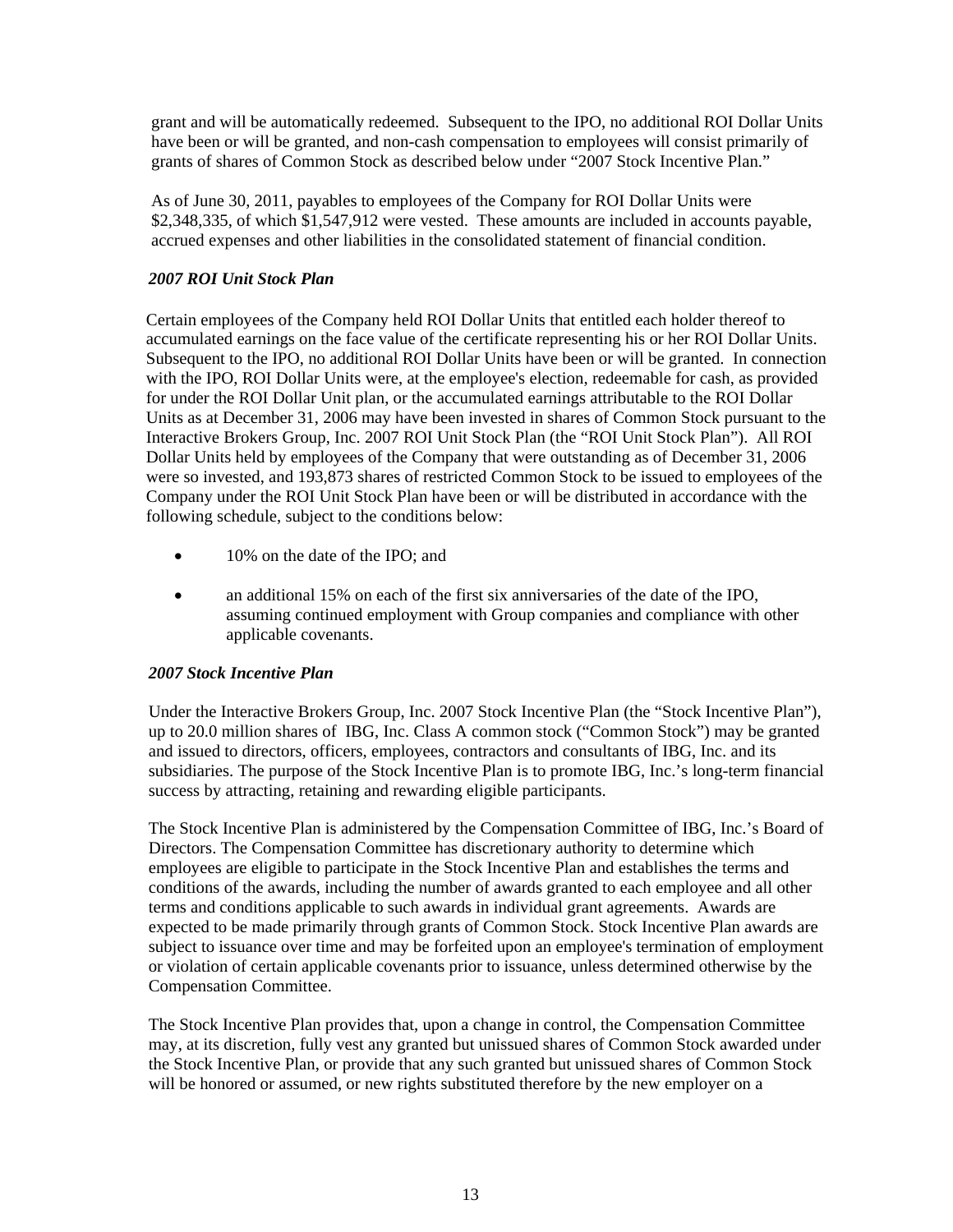grant and will be automatically redeemed. Subsequent to the IPO, no additional ROI Dollar Units have been or will be granted, and non-cash compensation to employees will consist primarily of grants of shares of Common Stock as described below under "2007 Stock Incentive Plan."

As of June 30, 2011, payables to employees of the Company for ROI Dollar Units were \$2,348,335, of which \$1,547,912 were vested. These amounts are included in accounts payable, accrued expenses and other liabilities in the consolidated statement of financial condition.

# *2007 ROI Unit Stock Plan*

Certain employees of the Company held ROI Dollar Units that entitled each holder thereof to accumulated earnings on the face value of the certificate representing his or her ROI Dollar Units. Subsequent to the IPO, no additional ROI Dollar Units have been or will be granted. In connection with the IPO, ROI Dollar Units were, at the employee's election, redeemable for cash, as provided for under the ROI Dollar Unit plan, or the accumulated earnings attributable to the ROI Dollar Units as at December 31, 2006 may have been invested in shares of Common Stock pursuant to the Interactive Brokers Group, Inc. 2007 ROI Unit Stock Plan (the "ROI Unit Stock Plan"). All ROI Dollar Units held by employees of the Company that were outstanding as of December 31, 2006 were so invested, and 193,873 shares of restricted Common Stock to be issued to employees of the Company under the ROI Unit Stock Plan have been or will be distributed in accordance with the following schedule, subject to the conditions below:

- 10% on the date of the IPO; and
- an additional 15% on each of the first six anniversaries of the date of the IPO, assuming continued employment with Group companies and compliance with other applicable covenants.

### *2007 Stock Incentive Plan*

Under the Interactive Brokers Group, Inc. 2007 Stock Incentive Plan (the "Stock Incentive Plan"), up to 20.0 million shares of IBG, Inc. Class A common stock ("Common Stock") may be granted and issued to directors, officers, employees, contractors and consultants of IBG, Inc. and its subsidiaries. The purpose of the Stock Incentive Plan is to promote IBG, Inc.'s long-term financial success by attracting, retaining and rewarding eligible participants.

The Stock Incentive Plan is administered by the Compensation Committee of IBG, Inc.'s Board of Directors. The Compensation Committee has discretionary authority to determine which employees are eligible to participate in the Stock Incentive Plan and establishes the terms and conditions of the awards, including the number of awards granted to each employee and all other terms and conditions applicable to such awards in individual grant agreements. Awards are expected to be made primarily through grants of Common Stock. Stock Incentive Plan awards are subject to issuance over time and may be forfeited upon an employee's termination of employment or violation of certain applicable covenants prior to issuance, unless determined otherwise by the Compensation Committee.

The Stock Incentive Plan provides that, upon a change in control, the Compensation Committee may, at its discretion, fully vest any granted but unissued shares of Common Stock awarded under the Stock Incentive Plan, or provide that any such granted but unissued shares of Common Stock will be honored or assumed, or new rights substituted therefore by the new employer on a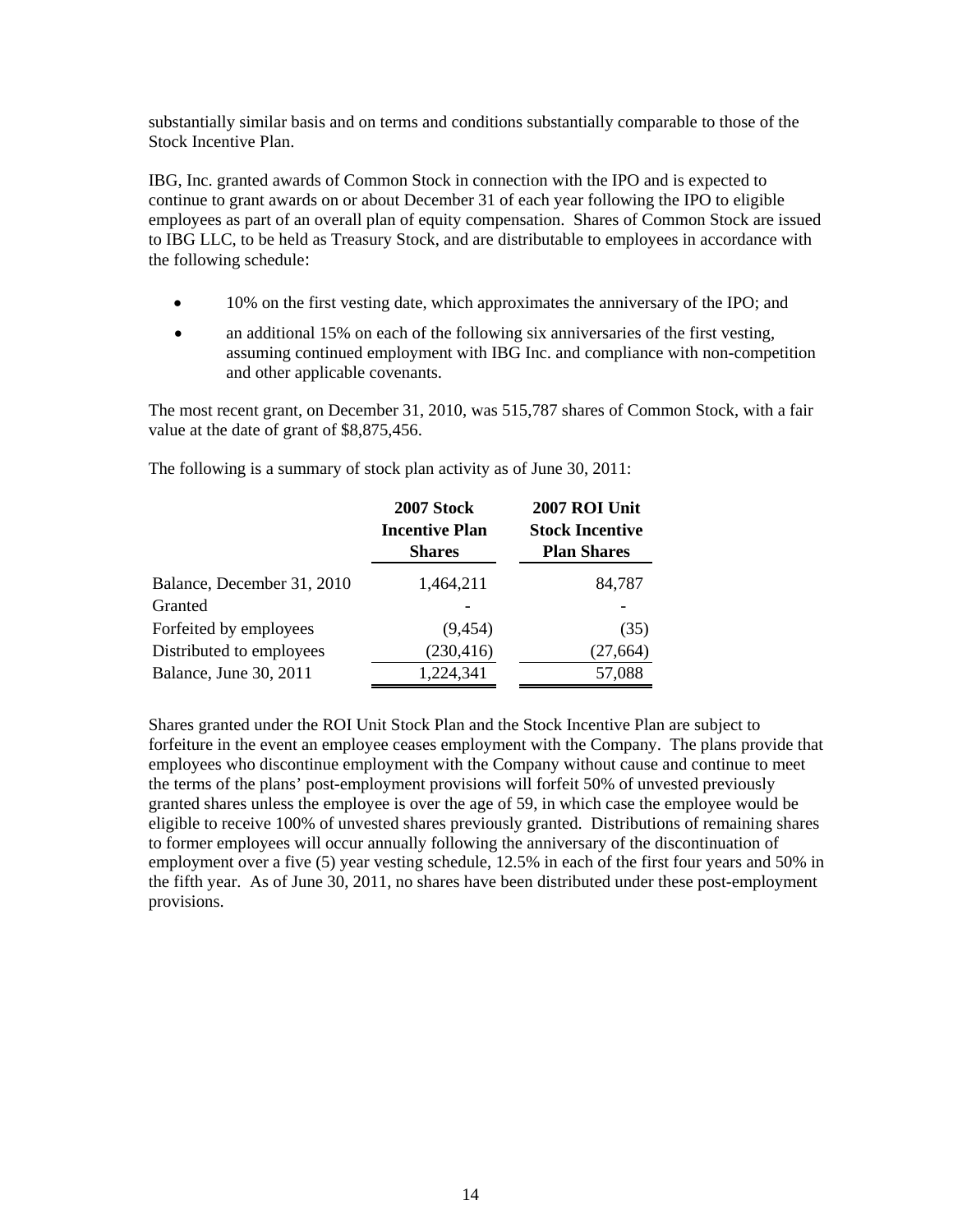substantially similar basis and on terms and conditions substantially comparable to those of the Stock Incentive Plan.

IBG, Inc. granted awards of Common Stock in connection with the IPO and is expected to continue to grant awards on or about December 31 of each year following the IPO to eligible employees as part of an overall plan of equity compensation. Shares of Common Stock are issued to IBG LLC, to be held as Treasury Stock, and are distributable to employees in accordance with the following schedule:

- 10% on the first vesting date, which approximates the anniversary of the IPO; and
- an additional 15% on each of the following six anniversaries of the first vesting, assuming continued employment with IBG Inc. and compliance with non-competition and other applicable covenants.

The most recent grant, on December 31, 2010, was 515,787 shares of Common Stock, with a fair value at the date of grant of \$8,875,456.

|                            | 2007 Stock<br><b>Incentive Plan</b><br><b>Shares</b> | 2007 ROI Unit<br><b>Stock Incentive</b><br><b>Plan Shares</b> |
|----------------------------|------------------------------------------------------|---------------------------------------------------------------|
| Balance, December 31, 2010 | 1,464,211                                            | 84,787                                                        |
| Granted                    |                                                      |                                                               |
| Forfeited by employees     | (9, 454)                                             | (35)                                                          |
| Distributed to employees   | (230, 416)                                           | (27, 664)                                                     |
| Balance, June 30, 2011     | 1,224,341                                            | 57,088                                                        |

The following is a summary of stock plan activity as of June 30, 2011:

Shares granted under the ROI Unit Stock Plan and the Stock Incentive Plan are subject to forfeiture in the event an employee ceases employment with the Company. The plans provide that employees who discontinue employment with the Company without cause and continue to meet the terms of the plans' post-employment provisions will forfeit 50% of unvested previously granted shares unless the employee is over the age of 59, in which case the employee would be eligible to receive 100% of unvested shares previously granted. Distributions of remaining shares to former employees will occur annually following the anniversary of the discontinuation of employment over a five (5) year vesting schedule, 12.5% in each of the first four years and 50% in the fifth year. As of June 30, 2011, no shares have been distributed under these post-employment provisions.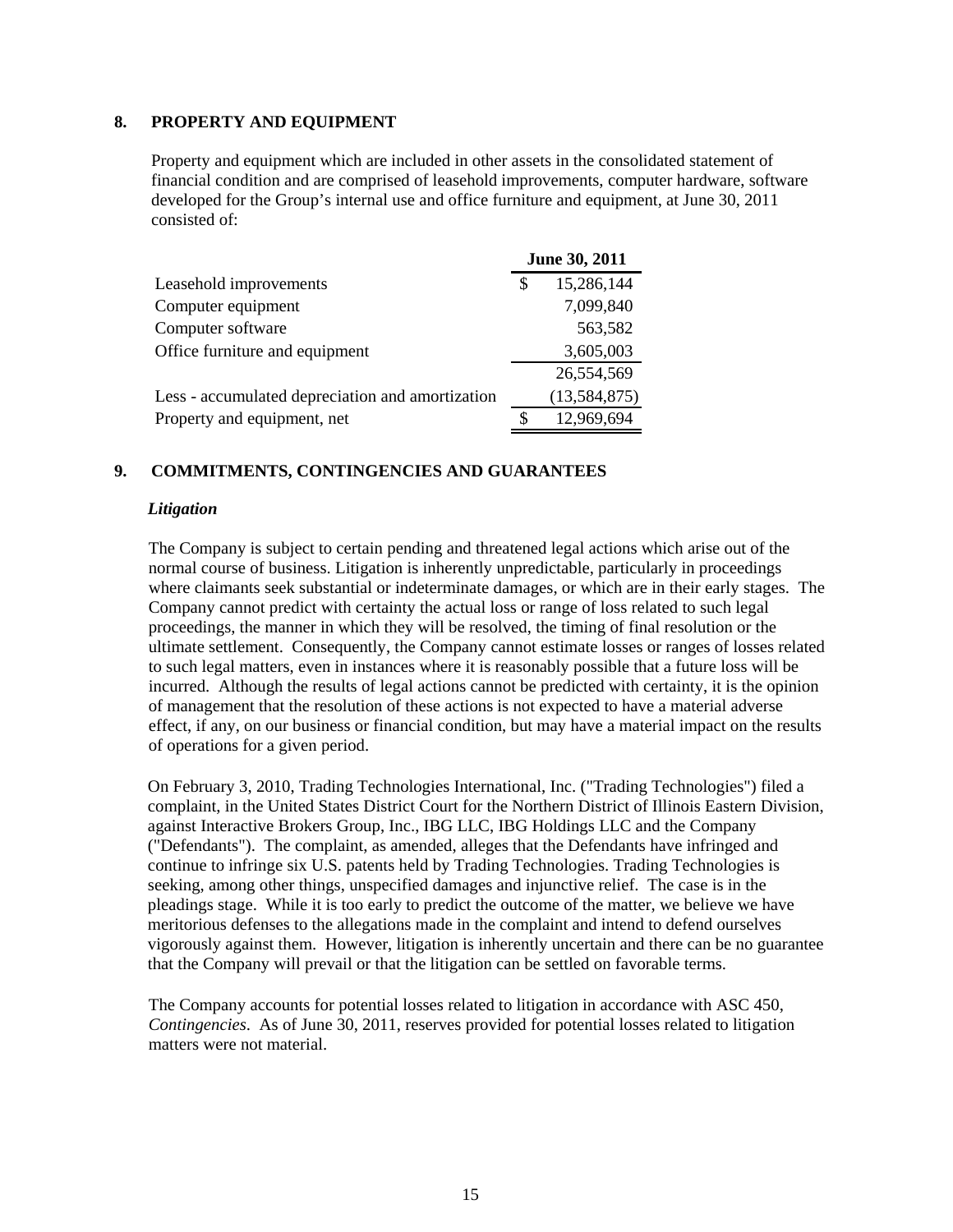### **8. PROPERTY AND EQUIPMENT**

Property and equipment which are included in other assets in the consolidated statement of financial condition and are comprised of leasehold improvements, computer hardware, software developed for the Group's internal use and office furniture and equipment, at June 30, 2011 consisted of:

|                                                  | June 30, 2011 |                |
|--------------------------------------------------|---------------|----------------|
| Leasehold improvements                           | S             | 15,286,144     |
| Computer equipment                               |               | 7,099,840      |
| Computer software                                |               | 563,582        |
| Office furniture and equipment                   |               | 3,605,003      |
|                                                  |               | 26,554,569     |
| Less - accumulated depreciation and amortization |               | (13, 584, 875) |
| Property and equipment, net                      | S.            | 12,969,694     |

### **9. COMMITMENTS, CONTINGENCIES AND GUARANTEES**

### *Litigation*

The Company is subject to certain pending and threatened legal actions which arise out of the normal course of business. Litigation is inherently unpredictable, particularly in proceedings where claimants seek substantial or indeterminate damages, or which are in their early stages. The Company cannot predict with certainty the actual loss or range of loss related to such legal proceedings, the manner in which they will be resolved, the timing of final resolution or the ultimate settlement. Consequently, the Company cannot estimate losses or ranges of losses related to such legal matters, even in instances where it is reasonably possible that a future loss will be incurred. Although the results of legal actions cannot be predicted with certainty, it is the opinion of management that the resolution of these actions is not expected to have a material adverse effect, if any, on our business or financial condition, but may have a material impact on the results of operations for a given period.

On February 3, 2010, Trading Technologies International, Inc. ("Trading Technologies") filed a complaint, in the United States District Court for the Northern District of Illinois Eastern Division, against Interactive Brokers Group, Inc., IBG LLC, IBG Holdings LLC and the Company ("Defendants"). The complaint, as amended, alleges that the Defendants have infringed and continue to infringe six U.S. patents held by Trading Technologies. Trading Technologies is seeking, among other things, unspecified damages and injunctive relief. The case is in the pleadings stage. While it is too early to predict the outcome of the matter, we believe we have meritorious defenses to the allegations made in the complaint and intend to defend ourselves vigorously against them. However, litigation is inherently uncertain and there can be no guarantee that the Company will prevail or that the litigation can be settled on favorable terms.

The Company accounts for potential losses related to litigation in accordance with ASC 450, *Contingencies*. As of June 30, 2011, reserves provided for potential losses related to litigation matters were not material.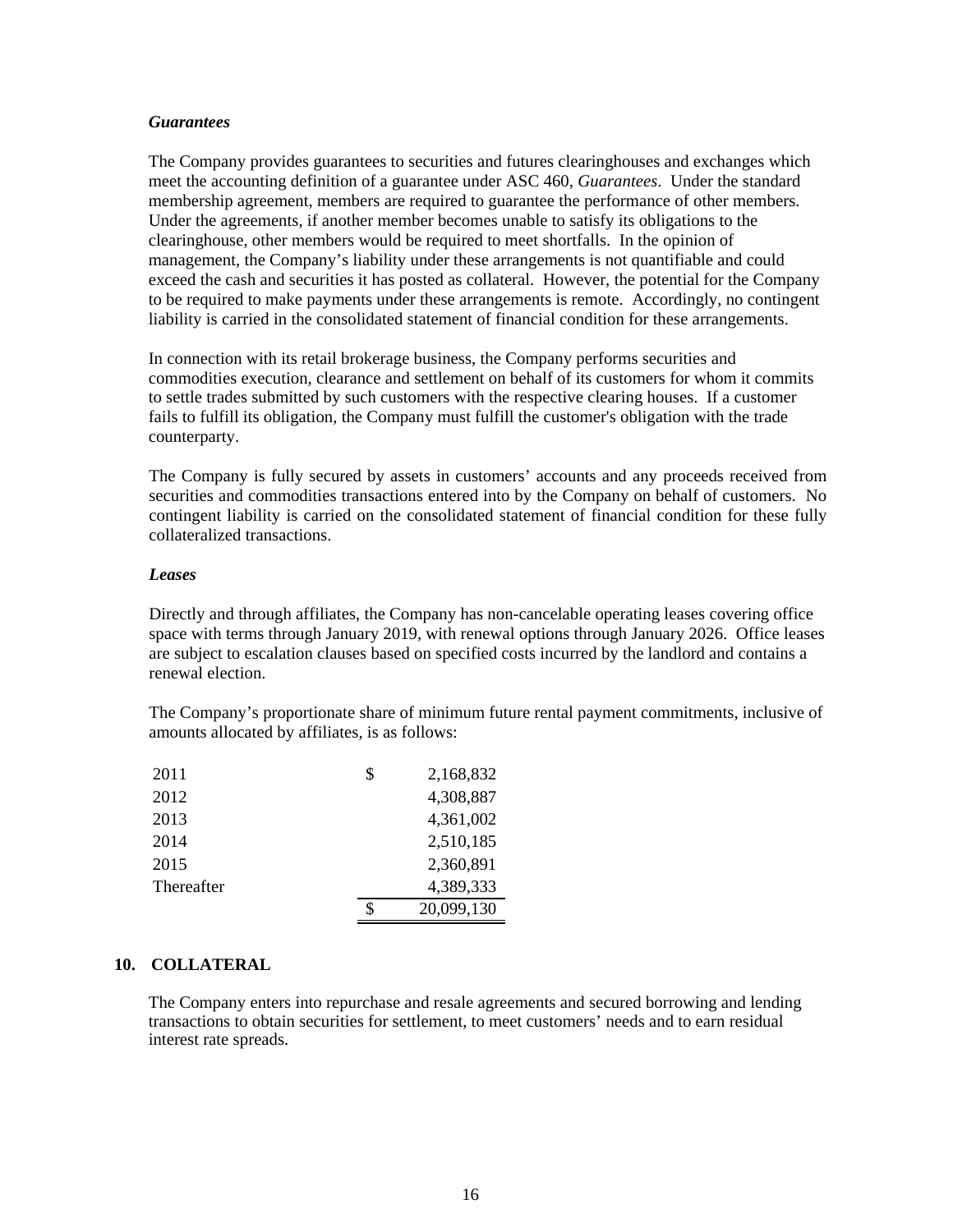#### *Guarantees*

The Company provides guarantees to securities and futures clearinghouses and exchanges which meet the accounting definition of a guarantee under ASC 460, *Guarantees*. Under the standard membership agreement, members are required to guarantee the performance of other members. Under the agreements, if another member becomes unable to satisfy its obligations to the clearinghouse, other members would be required to meet shortfalls. In the opinion of management, the Company's liability under these arrangements is not quantifiable and could exceed the cash and securities it has posted as collateral. However, the potential for the Company to be required to make payments under these arrangements is remote. Accordingly, no contingent liability is carried in the consolidated statement of financial condition for these arrangements.

In connection with its retail brokerage business, the Company performs securities and commodities execution, clearance and settlement on behalf of its customers for whom it commits to settle trades submitted by such customers with the respective clearing houses. If a customer fails to fulfill its obligation, the Company must fulfill the customer's obligation with the trade counterparty.

The Company is fully secured by assets in customers' accounts and any proceeds received from securities and commodities transactions entered into by the Company on behalf of customers. No contingent liability is carried on the consolidated statement of financial condition for these fully collateralized transactions.

#### *Leases*

Directly and through affiliates, the Company has non-cancelable operating leases covering office space with terms through January 2019, with renewal options through January 2026. Office leases are subject to escalation clauses based on specified costs incurred by the landlord and contains a renewal election.

The Company's proportionate share of minimum future rental payment commitments, inclusive of amounts allocated by affiliates, is as follows:

| 2011       | \$<br>2,168,832  |
|------------|------------------|
| 2012       | 4,308,887        |
| 2013       | 4,361,002        |
| 2014       | 2,510,185        |
| 2015       | 2,360,891        |
| Thereafter | 4,389,333        |
|            | \$<br>20,099,130 |

#### **10. COLLATERAL**

The Company enters into repurchase and resale agreements and secured borrowing and lending transactions to obtain securities for settlement, to meet customers' needs and to earn residual interest rate spreads.